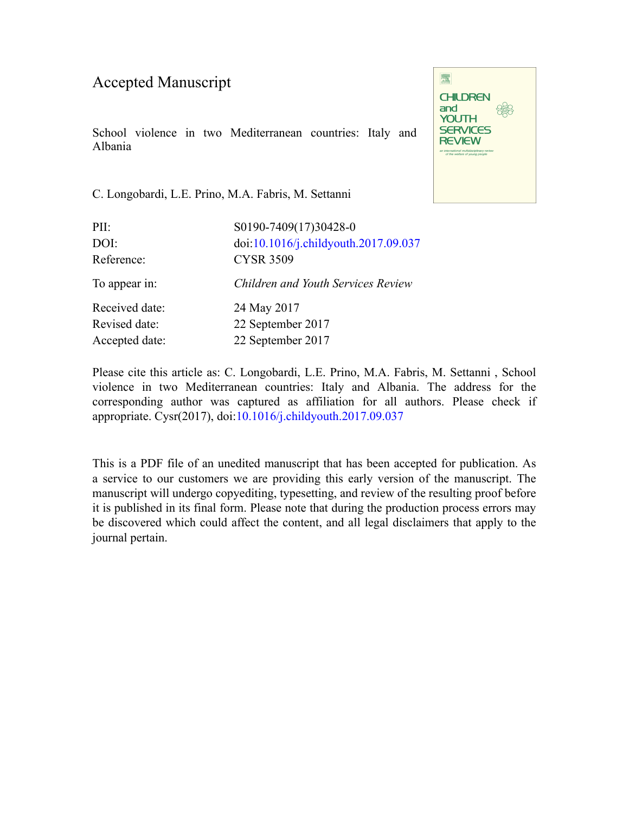## Accepted Manuscript

School violence in two Mediterranean countries: Italy and Albania

C. Longobardi, L.E. Prino, M.A. Fabris, M. Settanni

| PII:           | S0190-7409(17)30428-0                |
|----------------|--------------------------------------|
| DOI:           | doi:10.1016/j.childyouth.2017.09.037 |
| Reference:     | <b>CYSR 3509</b>                     |
| To appear in:  | Children and Youth Services Review   |
| Received date: | 24 May 2017                          |
| Revised date:  | 22 September 2017                    |
| Accepted date: | 22 September 2017                    |
|                |                                      |

Please cite this article as: C. Longobardi, L.E. Prino, M.A. Fabris, M. Settanni , School violence in two Mediterranean countries: Italy and Albania. The address for the corresponding author was captured as affiliation for all authors. Please check if appropriate. Cysr(2017), doi:[10.1016/j.childyouth.2017.09.037](https://doi.org/10.1016/j.childyouth.2017.09.037)

This is a PDF file of an unedited manuscript that has been accepted for publication. As a service to our customers we are providing this early version of the manuscript. The manuscript will undergo copyediting, typesetting, and review of the resulting proof before it is published in its final form. Please note that during the production process errors may be discovered which could affect the content, and all legal disclaimers that apply to the journal pertain.

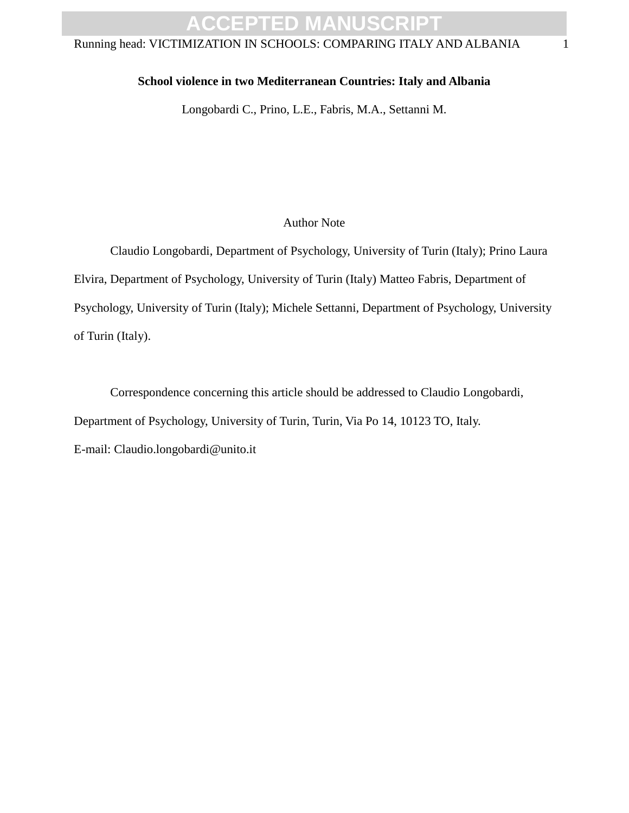# **ACCEPTED MANUSCRIPT**

### Running head: VICTIMIZATION IN SCHOOLS: COMPARING ITALY AND ALBANIA 1

#### **School violence in two Mediterranean Countries: Italy and Albania**

Longobardi C., Prino, L.E., Fabris, M.A., Settanni M.

#### Author Note

Author Note<br>
Itio Longobardi, Department of Psychology, University of Turin (Italy<br>
Ithent of Psychology, University of Turin (Italy) Matteo Fabris, Depa<br>
University of Turin (Italy); Michele Settanni, Department of Psycho Claudio Longobardi, Department of Psychology, University of Turin (Italy); Prino Laura Elvira, Department of Psychology, University of Turin (Italy) Matteo Fabris, Department of Psychology, University of Turin (Italy); Michele Settanni, Department of Psychology, University of Turin (Italy).

Correspondence concerning this article should be addressed to Claudio Longobardi, Department of Psychology, University of Turin, Turin, Via Po 14, 10123 TO, Italy. E-mail: Claudio.longobardi@unito.it